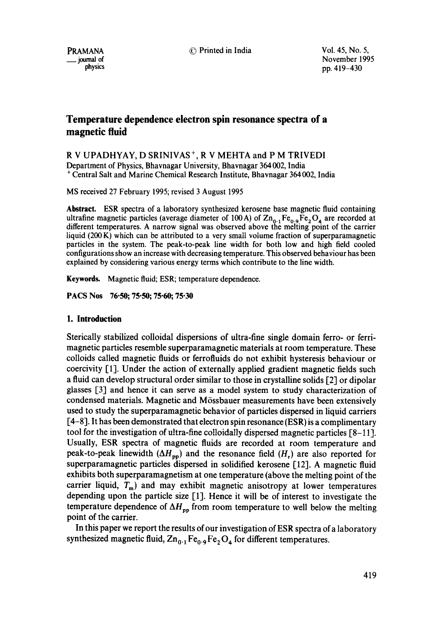PRAMANA \_\_ journal of physics © Printed in India Vol. 45, No. 5,

November 1995 pp. 419-430

# **Temperature dependence electron spin resonance spectra of a magnetic fluid**

R V UPADHYAY, D SRINIVAS +, R V MEHTA and P M TRIVEDI Department of Physics, Bhavnagar University, Bhavnagar 364 002, India + Central Salt and Marine Chemical Research Institute, Bhavnagar 364002, India

MS received 27 February 1995; revised 3 August 1995

**Abstract.** ESR spectra of a laboratory synthesized kerosene base magnetic fluid containing ultrafine magnetic particles (average diameter of 100 A) of  $\rm Zn_{0.1}Fe_{0.9}Fe_2O_4$  are recorded at different temperatures. A narrow signal was observed above the melting point of the carrier liquid (200 K) which can be attributed to a very small volume fraction of superparamagnetic particles in the system. The peak-to-peak line width for both low and high field cooled configurations show an increase with decreasing temperature. This observed behaviour has been explained by considering various energy terms which contribute to the line width.

Keywords. Magnetic fluid; ESR; temperature dependence.

**PACS Nos 76.50; 75"50; 75.60; 75.30** 

## **1. Introduction**

Sterically stabilized colloidal dispersions of ultra-fine single domain ferro- or ferrimagnetic particles resemble superparamagnetic materials at room temperature. These colloids called magnetic fluids or ferrofluids do not exhibit hysteresis behaviour or coercivity [1]. Under the action of externally applied gradient magnetic fields such a fluid can develop structural order similar to those in crystalline solids [2] or dipolar glasses [3] and hence it can serve as a model system to study characterization of condensed materials. Magnetic and M6ssbauer measurements have been extensively used to study the superparamagnetic behavior of particles dispersed in liquid carriers [4-8]. It has been demonstrated that electron spin resonance (ESR) is a complimentary tool for the investigation of ultra-fine colloidally dispersed magnetic particles [8-11]. Usually, ESR spectra of magnetic fluids are recorded at room temperature and peak-to-peak linewidth  $(\Delta H_{\rm pp})$  and the resonance field  $(H_{\rm r})$  are also reported for superparamagnetic particles dispersed in solidified kerosene [12]. A magnetic fluid exhibits both superparamagnetism at one temperature (above the melting point of the carrier liquid,  $T_{m}$ ) and may exhibit magnetic anisotropy at lower temperatures depending upon the particle size [1]. Hence it will be of interest to investigate the temperature dependence of  $\Delta H_{\text{op}}$  from room temperature to well below the melting point of the carrier.

In this paper we report the results of our investigation of ESR spectra of a laboratory synthesized magnetic fluid,  $Zn_{0.1}Fe_{0.9}Fe_2O_4$  for different temperatures.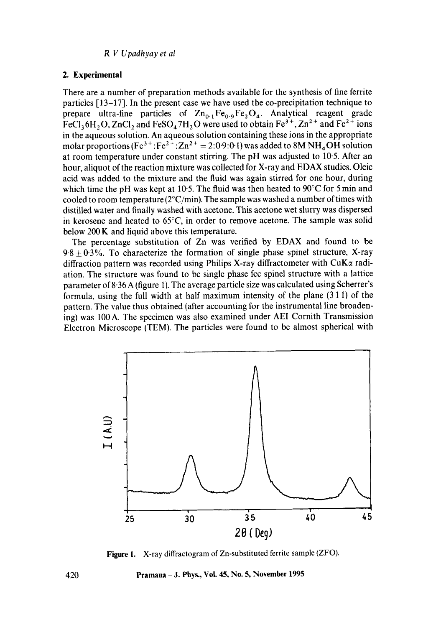### **2. Experimental**

There are a number of preparation methods available for the synthesis of fine ferrite particles [13-17]. In the present case we have used the co-precipitation technique to prepare ultra-fine particles of  $Zn_{0.1}Fe_{0.9}Fe_2O_4$ . Analytical reagent grade FeCl<sub>3</sub>6H<sub>2</sub>O, ZnCl<sub>2</sub> and FeSO<sub>4</sub>7H<sub>2</sub>O were used to obtain Fe<sup>3+</sup>, Zn<sup>2+</sup> and Fe<sup>2+</sup> ions in the aqueous solution. An aqueous solution containing these ions in the appropriate molar proportions (Fe<sup>3+</sup>:Fe<sup>2+</sup>:Zn<sup>2+</sup> = 2:0.9:0.1) was added to 8M NH<sub>4</sub>OH solution at room temperature under constant stirring. The pH was adjusted to 10.5. After an hour, aliquot of the reaction mixture was collected for X-ray and EDAX studies. Oleic acid was added to the mixture and the fluid was again stirred for one hour, during which time the pH was kept at 10.5. The fluid was then heated to  $90^{\circ}$ C for 5 min and cooled to room temperature  $(2^{\circ}C/\text{min})$ . The sample was washed a number of times with distilled water and finally washed with acetone. This acetone wet slurry was dispersed in kerosene and heated to 65°C, in order to remove acetone. The sample was solid below 200 K and liquid above this temperature.

The percentage substitution of Zn was verified by EDAX and found to be  $9.8 + 0.3\%$ . To characterize the formation of single phase spinel structure, X-ray diffraction pattern was recorded using Philips X-ray diffractometer with  $CuK\alpha$  radiation. The structure was found to be single phase fcc spinel structure with a lattice parameter of 8"36 A (figure 1). The average particle size was calculated using Scherrer's formula, using the full width at half maximum intensity of the plane (3 1 1) of the pattern. The value thus obtained (after accounting for the instrumental line broadening) was 100 A. The specimen was also examined under AEI Cornith Transmission Electron Microscope (TEM). The particles were found to be almost spherical with



Figure 1. X-ray diffractogram of Zn-substituted ferrite sample (ZFO).

**Pramana -** .I. Phys., Vol. 45, No. 5, November 1995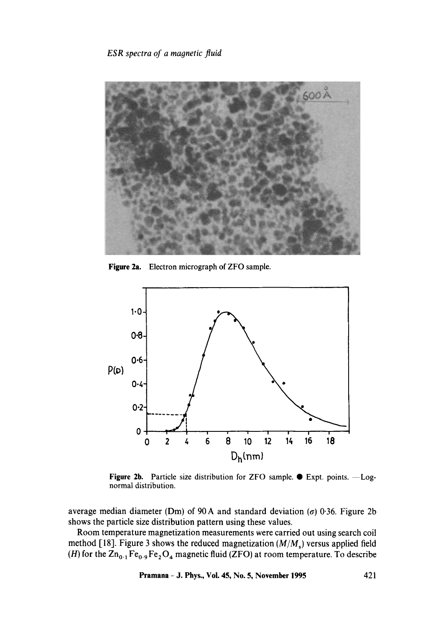# *ESR spectra of a magnetic fluid*



**Figure** 2a. Electron micrograph of ZFO sample.



Figure 2b. Particle size distribution for ZFO sample.  $\bullet$  Expt. points. - Lognormal distribution.

average median diameter (Dm) of 90 A and standard deviation ( $\sigma$ ) 0.36. Figure 2b shows the particle size distribution pattern using these values.

Room temperature magnetization measurements were carried out using search coil method [18]. Figure 3 shows the reduced magnetization *(M/Ms)* versus applied field (H) for the  $\text{Zn}_{0.1}\text{Fe}_{0.9}\text{Fe}_2\text{O}_4$  magnetic fluid (ZFO) at room temperature. To describe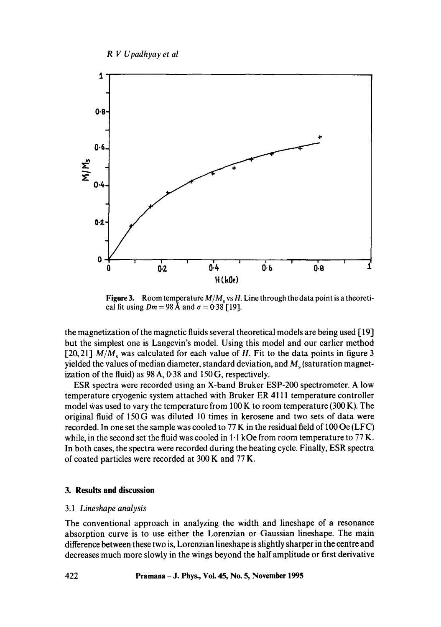

**Figure 3.** Room temperature  $M/M_s$  vs H. Line through the data point is a theoretical fit using  $Dm = 98$  Å and  $\sigma = 0.38$  [19].

the magnetization of the magnetic fluids several theoretical models are being used [19] but the simplest one is Langevin's model. Using this model and our earlier method [20,21]  $M/M_s$  was calculated for each value of H. Fit to the data points in figure 3 yielded the values of median diameter, standard deviation, and  $M_s$  (saturation magnetization of the fluid) as 98 A, 0.38 and 150 G, respectively.

ESR spectra were recorded using an X-band Bruker ESP-200 spectrometer. A low temperature cryogenic system attached with Bruker ER 4111 temperature controller model was used to vary the temperature from  $100 \text{ K}$  to room temperature (300 K). The original fluid of 150G was diluted 10 times in kerosene and two sets of data were recorded. In one set the sample was cooled to 77 K in the residual field of 100 Oe (LFC) while, in the second set the fluid was cooled in  $1 \cdot 1$  kOe from room temperature to 77 K. In both cases, the spectra were recorded during the heating cycle. Finally, ESR spectra of coated particles were recorded at 300 K and 77 K.

# **3. Results and discussion**

### 3.1 *Lineshape analysis*

The conventional approach in analyzing the width and lineshape of a resonance absorption curve is to use either the Lorenzian or Gaussian lineshape. The main difference between these two is, Lorenzian lineshape is slightly sharper in the centre and decreases much more slowly in the wings beyond the half amplitude or first derivative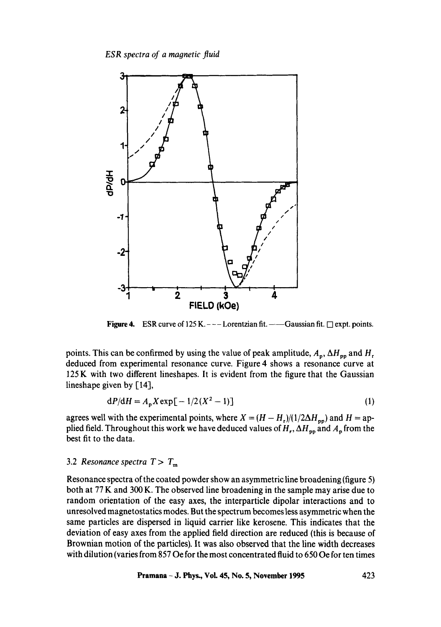*ESR spectra of a magnetic fluid* 



**Figure 4.** ESR curve of  $125 K. --- Lorentzian fit. --- Gaussian fit. = 0$  expt. points.

points. This can be confirmed by using the value of peak amplitude,  $A_p$ ,  $\Delta H_{pp}$  and  $H_r$ deduced from experimental resonance curve. Figure 4 shows a resonance curve at 125 K with two different lineshapes. It is evident from the figure that the Gaussian lineshape given by [14],

$$
dP/dH = A_p X \exp[-1/2(X^2 - 1)]
$$
 (1)

agrees well with the experimental points, where  $X = (H - H_r)/(1/2\Delta H_{pp})$  and  $H =$ applied field. Throughout this work we have deduced values of  $H_r$ ,  $\Delta H_{pp}$  and  $A_p$  from the best fit to the data.

## 3.2 *Resonance spectra*  $T > T<sub>m</sub>$

Resonance spectra of the coated powder show an asymmetric line broadening (figure 5) both at 77 K and 300 K. The observed line broadening in the sample may arise due to random orientation of the easy axes, the interparticle dipolar interactions and to unresolved magnetostatics modes. But the spectrum becomes less asymmetric when the same particles are dispersed in liquid carrier like kerosene. This indicates that the deviation of easy axes from the applied field direction are reduced (this is because of Brownian motion of the particles). It was also observed that the line width decreases with dilution (varies from 857 Oe for the most concentrated fluid to 650 Oe for ten times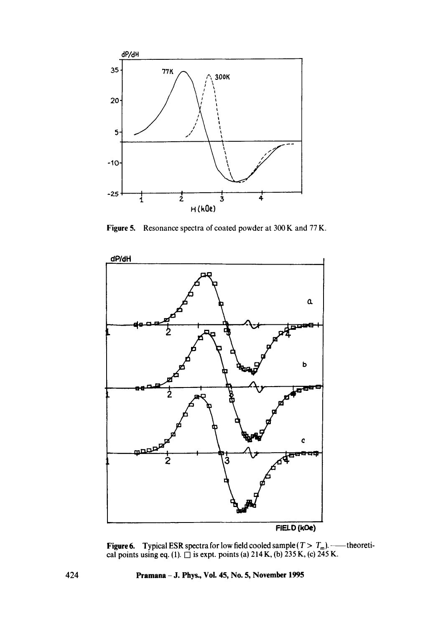

Figure 5. Resonance spectra of coated powder at 300 K and 77 K.



**Figure 6.** Typical ESR spectra for low field cooled sample  $(T > T<sub>m</sub>)$ . cal points using eq. (1).  $\Box$  is expt. points (a) 214 K, (b) 235 K, (c) 245 K. theoreti-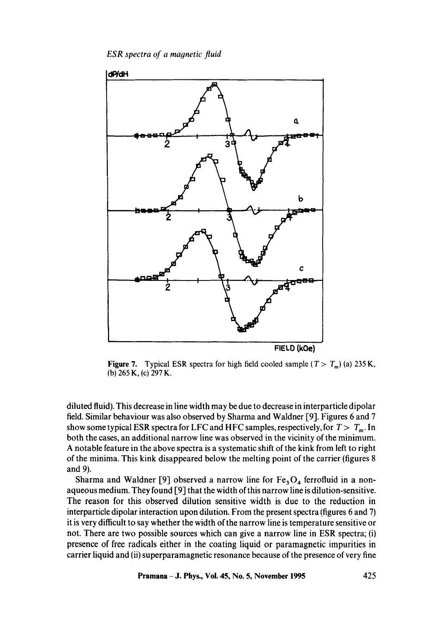*ESR spectra of a magnetic fluid* 



**Figure 7.** Typical ESR spectra for high field cooled sample  $(T > T_m)$  (a) 235 K, (b) 265 K, (c) 297 K.

diluted fluid). This decrease in line width may be due to decrease in interparticle dipolar field. Similar behaviour was also observed by Sharma and Waldner [9]. Figures 6 and 7 show some typical ESR spectra for LFC and HFC samples, respectively, for  $T > T_m$ . In both the cases, an additional narrow line was observed in the vicinity of the minimum. A notable feature in the above spectra is a systematic shift of the kink from left to right of the minima. This kink disappeared below the melting point of the carrier (figures 8 and 9).

Sharma and Waldner [9] observed a narrow line for  $Fe<sub>3</sub>O<sub>4</sub>$  ferrofluid in a nonaqueous medium. They found [9] that the width of this narrow line is dilution-sensitive. The reason for this observed dilution sensitive width is due to the reduction in interparticle dipolar interaction upon dilution. From the present spectra (figures 6 and 7) it is very difficult to say whether the width of the narrow line is temperature sensitive or not. There are two possible sources which can give a narrow line in ESR spectra; (i) presence of free radicals either in the coating liquid or paramagnetic impurities in carrier liquid and (ii) superparamagnetic resonance because of the presence of very fine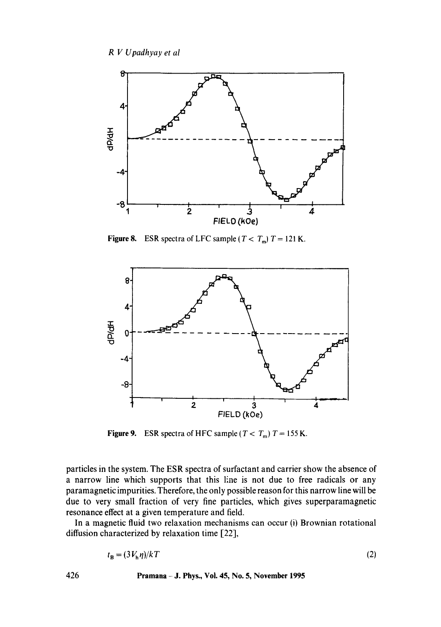

Figure 8. ESR spectra of LFC sample ( $T < T<sub>m</sub>$ ) T = 121 K.



**Figure 9.** ESR spectra of HFC sample ( $T < T<sub>m</sub>$ )  $T = 155$  K.

particles in the system. The ESR spectra of surfactant and carrier show the absence of a narrow line which supports that this line is not due to free radicals or any paramagnetic impurities. Therefore, the only possible reason for this narrow line will be due to very small fraction of very fine particles, which gives superparamagnetic resonance effect at a given temperature and field.

In a magnetic fluid two relaxation mechanisms can occur (i) Brownian rotational diffusion characterized by relaxation time [22],

$$
t_{\mathbf{B}} = (3V_{\mathbf{h}}\eta)/kT\tag{2}
$$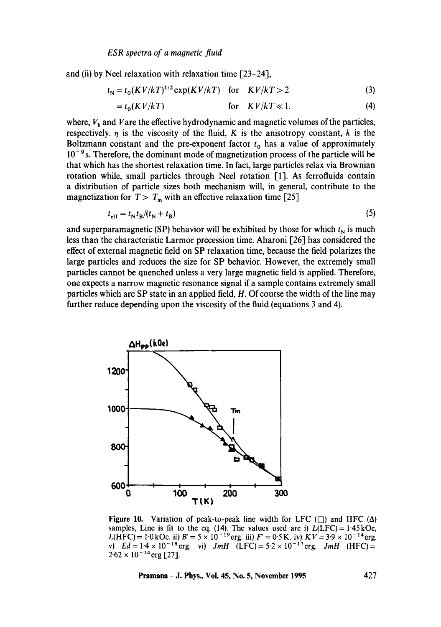and (ii) by Neel relaxation with relaxation time [23-24],

$$
t_N = t_0 (KV/kT)^{1/2} \exp(KV/kT) \quad \text{for} \quad KV/kT > 2 \tag{3}
$$

$$
= t_0(KV/kT)
$$
 for  $KV/kT \ll 1$ . (4)

where,  $V<sub>h</sub>$  and V are the effective hydrodynamic and magnetic volumes of the particles, respectively.  $\eta$  is the viscosity of the fluid, K is the anisotropy constant, k is the Boltzmann constant and the pre-exponent factor  $t_0$  has a value of approximately  $10^{-9}$  s. Therefore, the dominant mode of magnetization process of the particle will be that which has the shortest relaxation time. In fact, large particles relax via Brownian rotation while, small particles through Neel rotation [1]. As ferrofluids contain a distribution of particle sizes both mechanism will, in general, contribute to the magnetization for  $T > T_m$  with an effective relaxation time [25]

$$
t_{\rm eff} = t_{\rm N} t_{\rm B} / (t_{\rm N} + t_{\rm B}) \tag{5}
$$

and superparamagnetic (SP) behavior will be exhibited by those for which  $t_N$  is much less than the characteristic Larmor precession time. Aharoni [26] has considered the effect of external magnetic field on SP relaxation time, because the field polarizes the large particles and reduces the size for SP behavior. However, the extremely small particles cannot be quenched unless a very large magnetic field is applied. Therefore, one expects a narrow magnetic resonance signal if a sample contains extremely small particles which are SP state in an applied field, H. Of course the width of the line may further reduce depending upon the viscosity of the fluid (equations 3 and 4).



Figure 10. Variation of peak-to-peak line width for LFC  $(\square)$  and HFC  $(\Delta)$ samples, Line is fit to the eq. (14). The values used are i)  $L(LFC) = 1.45 \text{kOe}$ , L(HFC) = 1.0 kOe. ii)  $B' = 5 \times 10^{-19}$  erg. iii)  $F' = 0.5$  K. iv)  $KV = 3.9 \times 10^{-14}$  erg. v)  $Ed = 1.4 \times 10^{-18}$  erg. vi)  $JmH$  (LFC) =  $5.2 \times 10^{-17}$  erg.  $JmH$  (HFC) =  $2.62 \times 10^{-14}$ erg [27].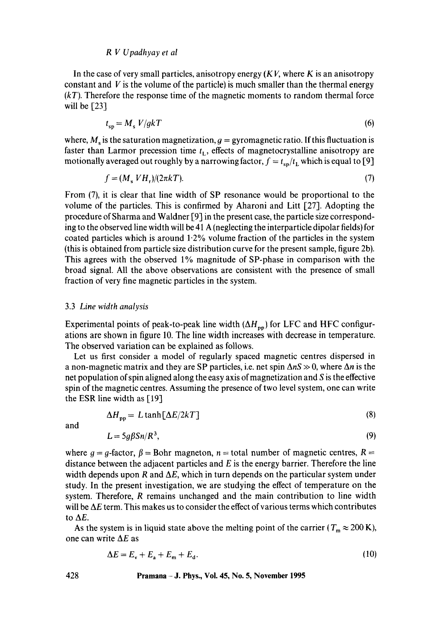In the case of very small particles, anisotropy energy  $(KV)$ , where K is an anisotropy constant and  $V$  is the volume of the particle) is much smaller than the thermal energy *(kT).* Therefore the response time of the magnetic moments to random thermal force will be **[23]** 

$$
t_{\rm{sp}} = M_{\rm{s}} V/gkT \tag{6}
$$

where,  $M_s$  is the saturation magnetization,  $g = gyromagnetic ratio$ . If this fluctuation is faster than Larmor precession time  $t_L$ , effects of magnetocrystalline anisotropy are motionally averaged out roughly by a narrowing factor,  $f = t_{\rm{sp}}/t_{\rm{L}}$  which is equal to [9]

$$
f = (Ms V Hr)/(2\pi k) \tag{7}
$$

From (7), it is clear that line width of SP resonance would be proportional to the volume of the particles. This is confirmed by Aharoni and Litt [27]. Adopting the procedure of Sharma and Waldner [9] in the present case, the particle size corresponding to the observed line width will be 41 A (neglecting the interparticle dipolar fields) for coated particles which is around  $1.2\%$  volume fraction of the particles in the system (this is obtained from particle size distribution curve for the present sample, figure 2b). This agrees with the observed 1% magnitude of SP-phase in comparison with the broad signal. All the above observations are consistent with the presence of small fraction of very fine magnetic particles in the system.

#### 3.3 *Line width analysis*

Experimental points of peak-to-peak line width  $(\Delta H_{pp})$  for LFC and HFC configurations are shown in figure 10. The line width increases with decrease in temperature. The observed variation can be explained as follows.

Let us first consider a model of regularly spaced magnetic centres dispersed in a non-magnetic matrix and they are SP particles, i.e. net spin  $\Delta nS \gg 0$ , where  $\Delta n$  is the net population of spin aligned along the easy axis of magnetization and S is the effective spin of the magnetic centres. Assuming the presence of two level system, one can write the ESR line width as [19]

$$
\Delta H_{\rm pp} = L \tanh[\Delta E/2kT] \tag{8}
$$

and

$$
L = 5g\beta Sn/R^3,\tag{9}
$$

where  $g = g$ -factor,  $\beta = Bohr$  magneton,  $n =$  total number of magnetic centres,  $R =$ distance between the adjacent particles and  $E$  is the energy barrier. Therefore the line width depends upon R and  $\Delta E$ , which in turn depends on the particular system under study. In the present investigation, we are studying the effect of temperature on the system. Therefore, R remains unchanged and the main contribution to line width will be  $\Delta E$  term. This makes us to consider the effect of various terms which contributes to  $\Delta E$ .

As the system is in liquid state above the melting point of the carrier ( $T_m \approx 200 \text{ K}$ ), one can write  $\Delta E$  as

$$
\Delta E = E_{\rm v} + E_{\rm a} + E_{\rm m} + E_{\rm d}.\tag{10}
$$

### **428 Pramana - J. Phys., Vol. 45, No. 5, November 1995**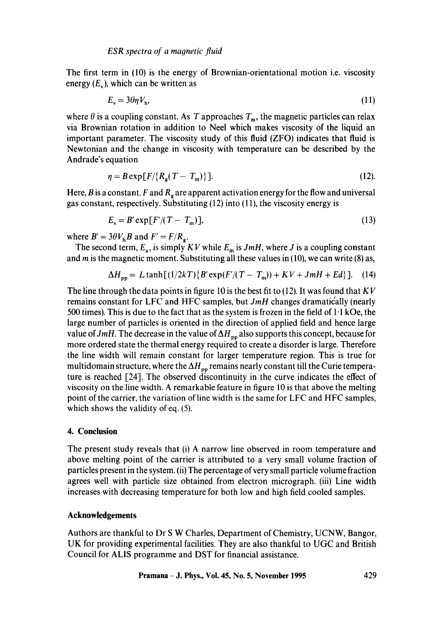The first term in (10) is the energy of Brownian-orientational motion i.e. viscosity energy  $(E_v)$ , which can be written as

$$
E_{\rm v} = 3\theta \eta V_{\rm h},\tag{11}
$$

where  $\theta$  is a coupling constant. As T approaches  $T_m$ , the magnetic particles can relax via Brownian rotation in addition to Neel which makes viscosity of the liquid an important parameter. The viscosity study of this fluid (ZFO) indicates that fluid is Newtonian and the change in viscosity with temperature can be described by the Andrade's equation

$$
\eta = B \exp[F/\{R_{\rm g}(T - T_{\rm m})\}]. \tag{12}
$$

Here, B is a constant. F and  $R<sub>g</sub>$  are apparent activation energy for the flow and universal gas constant, respectively. Substituting (12) into (11), the viscosity energy is

$$
E_{\rm v} = B' \exp[F'/(T - T_{\rm m})],\tag{13}
$$

where  $B' = 3\theta V_h B$  and  $F' = F/R_g$ .

The second term,  $E_a$ , is simply  $KV$  while  $E_m$  is *JmH*, where *J* is a coupling constant and  $m$  is the magnetic moment. Substituting all these values in (10), we can write (8) as,

$$
\Delta H_{\rm pp} = L \tanh[(1/2kT)\{B'\exp(F/(T-T_{\rm m}))+KV+JmH+Ed\}].
$$
 (14)

The line through the data points in figure 10 is the best fit to  $(12)$ . It was found that  $KY$ remains constant for LFC and HFC samples, but *JmH* changes dramatic'ally (nearly 500 times). This is due to the fact that as the system is frozen in the field of  $1.1$  kOe, the large number of particles is oriented in the direction of applied field and hence large value of  $JmH$ . The decrease in the value of  $\Delta H_{pp}$  also supports this concept, because for more ordered state the thermal energy required to create a disorder is large. Therefore the line width will remain constant for larger temperature region. This is true for multidomain structure, where the  $\Delta H_{\text{pp}}$  remains nearly constant till the Curie temperature is reached  $\lceil 24 \rceil$ . The observed discontinuity in the curve indicates the effect of viscosity on the line width. A remarkable feature in figure 10 is that above the melting point of the carrier, the variation of line width is the same for LFC and HFC samples, which shows the validity of eq. (5).

### **4. Conclusion**

The present study reveals that (i) A narrow line observed in room temperature and above melting point of the carrier is attributed to a very small volume fraction of particles present in the system. (ii) The percentage of very small particle volume fraction agrees well with particle size obtained from electron micrograph. (iii) Line width increases with decreasing temperature for both low and high field cooled samples.

### **Acknowledgements**

Authors are thankful to Dr S W Charles, Department of Chemistry, UCNW, Bangor, UK for providing experimental facilities. They are also thankful to UGC and British Council for ALIS programme and DST for financial assistance.